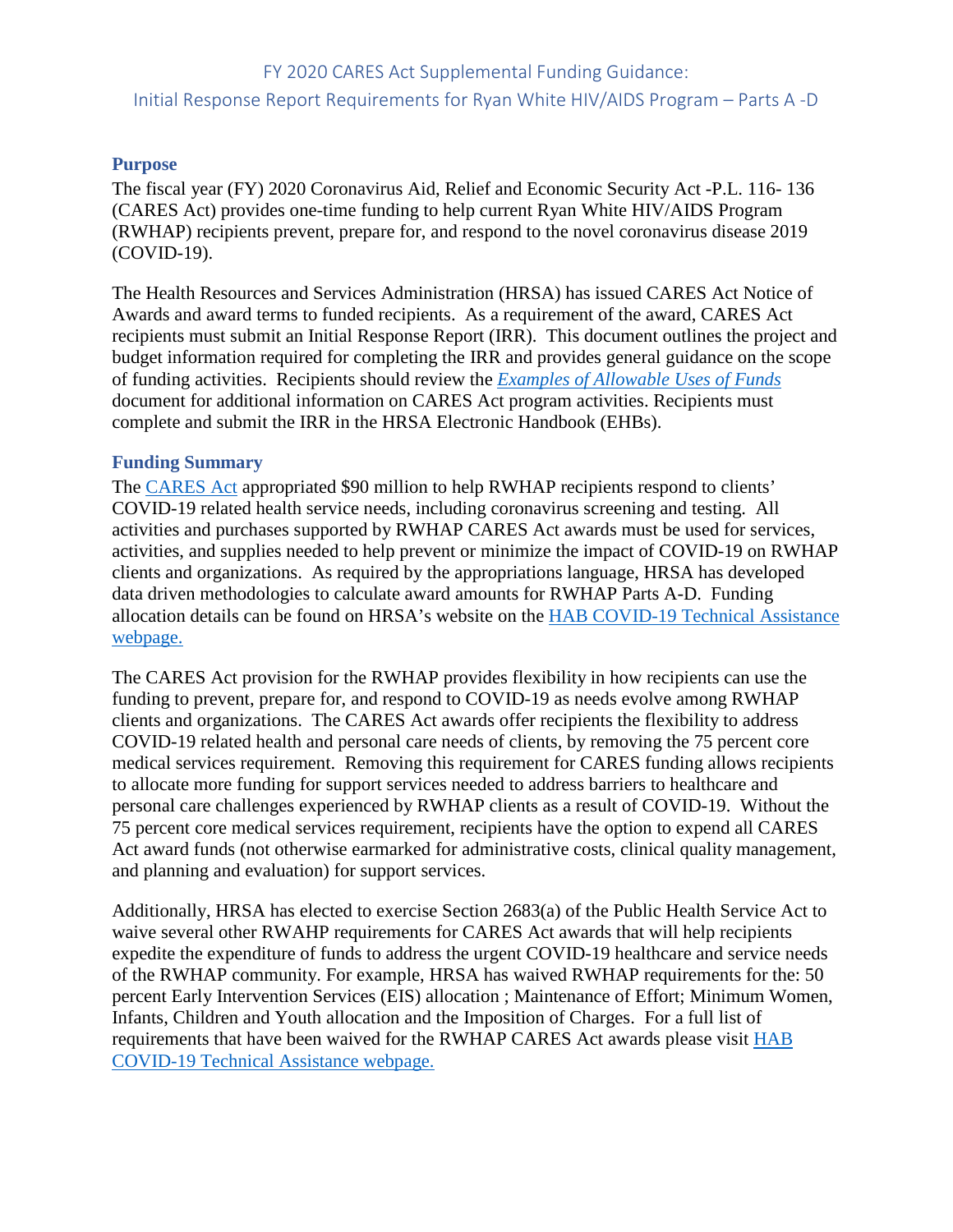# FY 2020 CARES Act Supplemental Funding Guidance: Initial Response Report Requirements for Ryan White HIV/AIDS Program – Parts A -D

#### **Purpose**

The fiscal year (FY) 2020 Coronavirus Aid, Relief and Economic Security Act -P.L. 116- 136 (CARES Act) provides one-time funding to help current Ryan White HIV/AIDS Program (RWHAP) recipients prevent, prepare for, and respond to the novel coronavirus disease 2019 (COVID-19).

The Health Resources and Services Administration (HRSA) has issued CARES Act Notice of Awards and award terms to funded recipients. As a requirement of the award, CARES Act recipients must submit an Initial Response Report (IRR). This document outlines the project and budget information required for completing the IRR and provides general guidance on the scope of funding activities. Recipients should review the *[Examples of Allowable Uses of Funds](https://hab.hrsa.gov/sites/default/files/hab/program-grants-management/coronavirus/covid19-allowable-funds-parts-a-d.pdf)* document for additional information on CARES Act program activities. Recipients must complete and submit the IRR in the HRSA Electronic Handbook (EHBs).

#### **Funding Summary**

The [CARES Act](https://www.congress.gov/bill/116th-congress/house-bill/748/text?q=%7B%22search%22%3A%5B%22Coronavirus+Aid%2C+Relief+and+Economic+Security+Act+%28P.L.+116-136%29%22%5D%7D&r=1&s=1) appropriated \$90 million to help RWHAP recipients respond to clients' COVID-19 related health service needs, including coronavirus screening and testing. All activities and purchases supported by RWHAP CARES Act awards must be used for services, activities, and supplies needed to help prevent or minimize the impact of COVID-19 on RWHAP clients and organizations. As required by the appropriations language, HRSA has developed data driven methodologies to calculate award amounts for RWHAP Parts A-D. Funding allocation details can be found on HRSA's website on the [HAB COVID-19 Technical Assistance](https://hab.hrsa.gov/program-grants-management/coronavirus-covid-19-response)  [webpage.](https://hab.hrsa.gov/program-grants-management/coronavirus-covid-19-response)

The CARES Act provision for the RWHAP provides flexibility in how recipients can use the funding to prevent, prepare for, and respond to COVID-19 as needs evolve among RWHAP clients and organizations. The CARES Act awards offer recipients the flexibility to address COVID-19 related health and personal care needs of clients, by removing the 75 percent core medical services requirement. Removing this requirement for CARES funding allows recipients to allocate more funding for support services needed to address barriers to healthcare and personal care challenges experienced by RWHAP clients as a result of COVID-19. Without the 75 percent core medical services requirement, recipients have the option to expend all CARES Act award funds (not otherwise earmarked for administrative costs, clinical quality management, and planning and evaluation) for support services.

Additionally, HRSA has elected to exercise Section 2683(a) of the Public Health Service Act to waive several other RWAHP requirements for CARES Act awards that will help recipients expedite the expenditure of funds to address the urgent COVID-19 healthcare and service needs of the RWHAP community. For example, HRSA has waived RWHAP requirements for the: 50 percent Early Intervention Services (EIS) allocation ; Maintenance of Effort; Minimum Women, Infants, Children and Youth allocation and the Imposition of Charges. For a full list of requirements that have been waived for the RWHAP CARES Act awards please visit [HAB](https://hab.hrsa.gov/program-grants-management/coronavirus-covid-19-response)  [COVID-19 Technical Assistance webpage.](https://hab.hrsa.gov/program-grants-management/coronavirus-covid-19-response)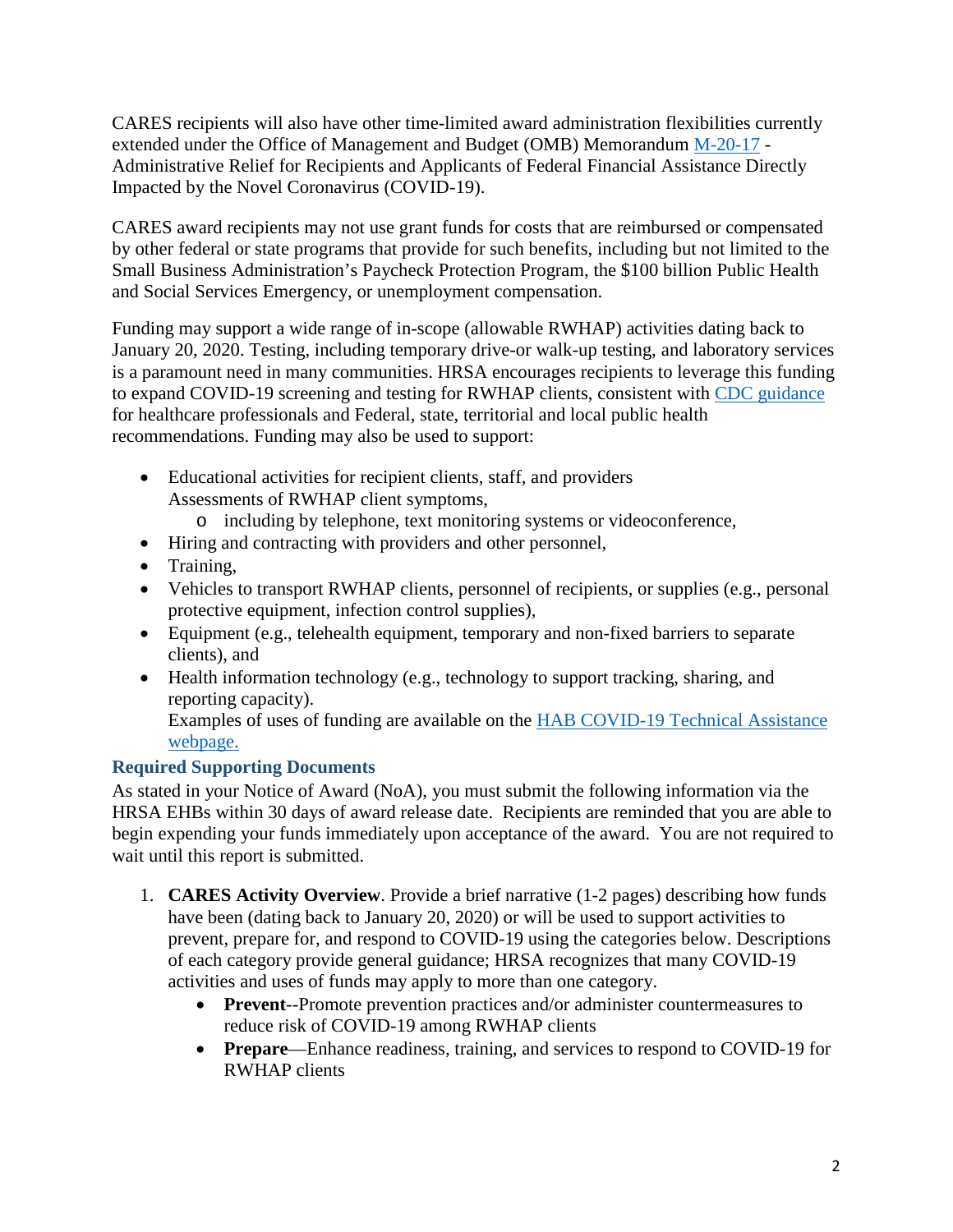CARES recipients will also have other time-limited award administration flexibilities currently extended under the Office of Management and Budget (OMB) Memorandum [M-20-17](https://www.whitehouse.gov/wp-content/uploads/2020/03/M-20-17.pdf) - Administrative Relief for Recipients and Applicants of Federal Financial Assistance Directly Impacted by the Novel Coronavirus (COVID-19).

CARES award recipients may not use grant funds for costs that are reimbursed or compensated by other federal or state programs that provide for such benefits, including but not limited to the Small Business Administration's Paycheck Protection Program, the \$100 billion Public Health and Social Services Emergency, or unemployment compensation.

Funding may support a wide range of in-scope (allowable RWHAP) activities dating back to January 20, 2020. Testing, including temporary drive-or walk-up testing, and laboratory services is a paramount need in many communities. HRSA encourages recipients to leverage this funding to expand COVID-19 screening and testing for RWHAP clients, consistent with [CDC guidance](https://www.cdc.gov/coronavirus/2019-ncov/index.html) for healthcare professionals and Federal, state, territorial and local public health recommendations. Funding may also be used to support:

- Educational activities for recipient clients, staff, and providers Assessments of RWHAP client symptoms,
	- o including by telephone, text monitoring systems or videoconference,
- Hiring and contracting with providers and other personnel,
- Training,
- Vehicles to transport RWHAP clients, personnel of recipients, or supplies (e.g., personal protective equipment, infection control supplies),
- Equipment (e.g., telehealth equipment, temporary and non-fixed barriers to separate clients), and
- Health information technology (e.g., technology to support tracking, sharing, and reporting capacity).

Examples of uses of funding are available on the [HAB COVID-19 Technical Assistance](https://hab.hrsa.gov/program-grants-management/coronavirus-covid-19-response)  [webpage.](https://hab.hrsa.gov/program-grants-management/coronavirus-covid-19-response)

## **Required Supporting Documents**

As stated in your Notice of Award (NoA), you must submit the following information via the HRSA EHBs within 30 days of award release date. Recipients are reminded that you are able to begin expending your funds immediately upon acceptance of the award. You are not required to wait until this report is submitted.

- 1. **CARES Activity Overview**. Provide a brief narrative (1-2 pages) describing how funds have been (dating back to January 20, 2020) or will be used to support activities to prevent, prepare for, and respond to COVID-19 using the categories below. Descriptions of each category provide general guidance; HRSA recognizes that many COVID-19 activities and uses of funds may apply to more than one category.
	- **Prevent**--Promote prevention practices and/or administer countermeasures to reduce risk of COVID-19 among RWHAP clients
	- **Prepare**—Enhance readiness, training, and services to respond to COVID-19 for RWHAP clients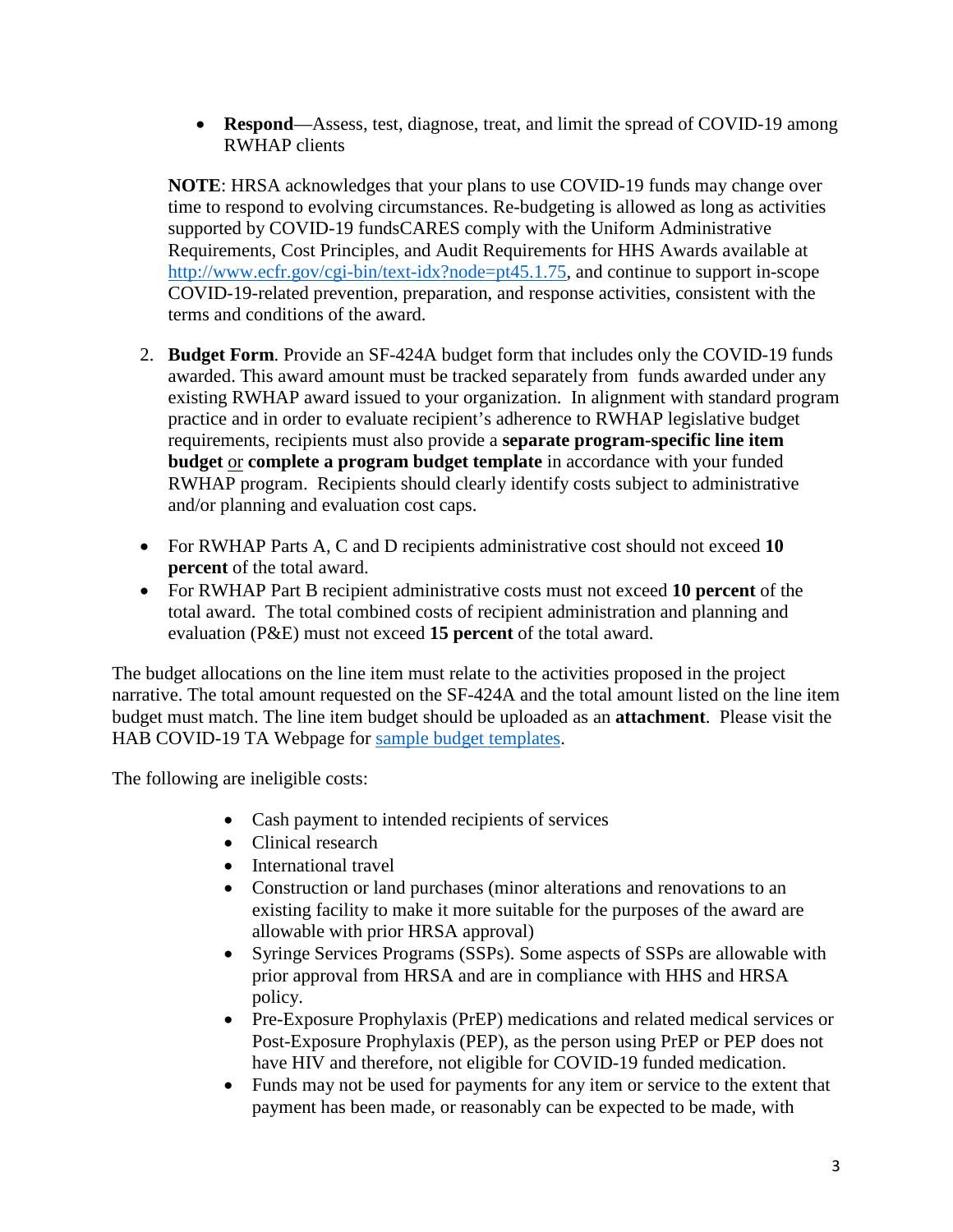• **Respond**—Assess, test, diagnose, treat, and limit the spread of COVID-19 among RWHAP clients

**NOTE**: HRSA acknowledges that your plans to use COVID-19 funds may change over time to respond to evolving circumstances. Re-budgeting is allowed as long as activities supported by COVID-19 fundsCARES comply with the Uniform Administrative Requirements, Cost Principles, and Audit Requirements for HHS Awards available at [http://www.ecfr.gov/cgi-bin/text-idx?node=pt45.1.75,](http://www.ecfr.gov/cgi-bin/text-idx?node=pt45.1.75) and continue to support in-scope COVID-19-related prevention, preparation, and response activities, consistent with the terms and conditions of the award.

- 2. **Budget Form**. Provide an SF-424A budget form that includes only the COVID-19 funds awarded. This award amount must be tracked separately from funds awarded under any existing RWHAP award issued to your organization. In alignment with standard program practice and in order to evaluate recipient's adherence to RWHAP legislative budget requirements, recipients must also provide a **separate program-specific line item budget** or **complete a program budget template** in accordance with your funded RWHAP program. Recipients should clearly identify costs subject to administrative and/or planning and evaluation cost caps.
- For RWHAP Parts A, C and D recipients administrative cost should not exceed **10 percent** of the total award.
- For RWHAP Part B recipient administrative costs must not exceed **10 percent** of the total award. The total combined costs of recipient administration and planning and evaluation (P&E) must not exceed **15 percent** of the total award.

The budget allocations on the line item must relate to the activities proposed in the project narrative. The total amount requested on the SF-424A and the total amount listed on the line item budget must match. The line item budget should be uploaded as an **attachment**. Please visit the HAB COVID-19 TA Webpage for [sample budget templates.](https://hab.hrsa.gov/program-grants-management/coronavirus-covid-19-response)

The following are ineligible costs:

- Cash payment to intended recipients of services
- Clinical research
- International travel
- Construction or land purchases (minor alterations and renovations to an existing facility to make it more suitable for the purposes of the award are allowable with prior HRSA approval)
- Syringe Services Programs (SSPs). Some aspects of SSPs are allowable with prior approval from HRSA and are in compliance with HHS and HRSA policy.
- Pre-Exposure Prophylaxis (PrEP) medications and related medical services or Post-Exposure Prophylaxis (PEP), as the person using PrEP or PEP does not have HIV and therefore, not eligible for COVID-19 funded medication.
- Funds may not be used for payments for any item or service to the extent that payment has been made, or reasonably can be expected to be made, with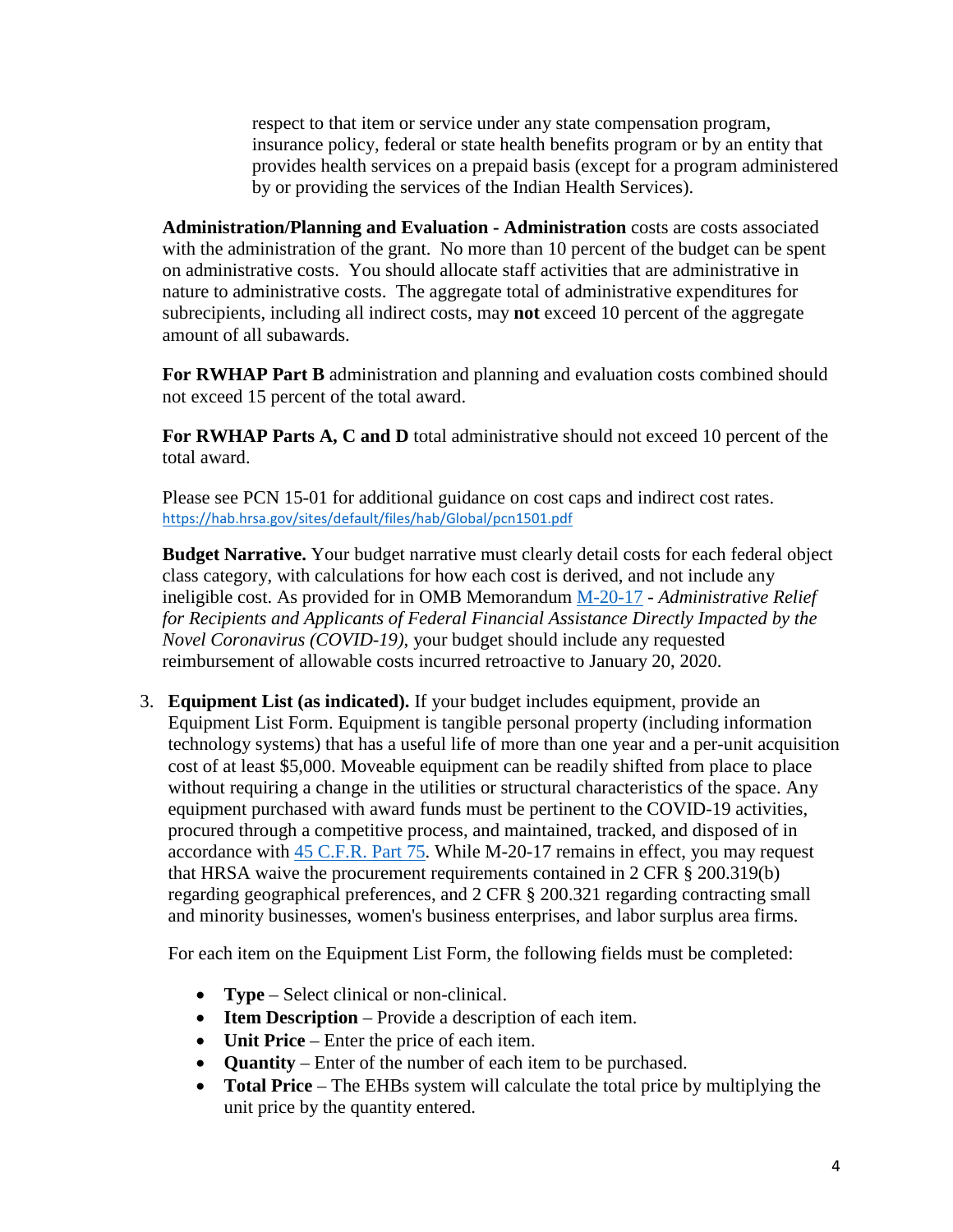respect to that item or service under any state compensation program, insurance policy, federal or state health benefits program or by an entity that provides health services on a prepaid basis (except for a program administered by or providing the services of the Indian Health Services).

**Administration/Planning and Evaluation - Administration** costs are costs associated with the administration of the grant. No more than 10 percent of the budget can be spent on administrative costs. You should allocate staff activities that are administrative in nature to administrative costs. The aggregate total of administrative expenditures for subrecipients, including all indirect costs, may **not** exceed 10 percent of the aggregate amount of all subawards.

**For RWHAP Part B** administration and planning and evaluation costs combined should not exceed 15 percent of the total award.

**For RWHAP Parts A, C and D** total administrative should not exceed 10 percent of the total award.

Please see PCN 15-01 for additional guidance on cost caps and indirect cost rates. <https://hab.hrsa.gov/sites/default/files/hab/Global/pcn1501.pdf>

**Budget Narrative.** Your budget narrative must clearly detail costs for each federal object class category, with calculations for how each cost is derived, and not include any ineligible cost. As provided for in OMB Memorandum [M-20-17](https://www.whitehouse.gov/wp-content/uploads/2020/03/M-20-17.pdf) - *Administrative Relief for Recipients and Applicants of Federal Financial Assistance Directly Impacted by the Novel Coronavirus (COVID-19)*, your budget should include any requested reimbursement of allowable costs incurred retroactive to January 20, 2020.

3. **Equipment List (as indicated).** If your budget includes equipment, provide an Equipment List Form. Equipment is tangible personal property (including information technology systems) that has a useful life of more than one year and a per-unit acquisition cost of at least \$5,000. Moveable equipment can be readily shifted from place to place without requiring a change in the utilities or structural characteristics of the space. Any equipment purchased with award funds must be pertinent to the COVID-19 activities, procured through a competitive process, and maintained, tracked, and disposed of in accordance with [45 C.F.R. Part 75.](https://www.ecfr.gov/cgi-bin/retrieveECFR?gp=1&SID=501752740986e7a2e59e46b724c0a2a7&ty=HTML&h=L&r=PART&n=pt45.1.75) While M-20-17 remains in effect, you may request that HRSA waive the procurement requirements contained in 2 CFR § 200.319(b) regarding geographical preferences, and 2 CFR § 200.321 regarding contracting small and minority businesses, women's business enterprises, and labor surplus area firms.

For each item on the Equipment List Form, the following fields must be completed:

- **Type** Select clinical or non-clinical.
- **Item Description** Provide a description of each item.
- **Unit Price** Enter the price of each item.
- **Quantity** Enter of the number of each item to be purchased.
- **Total Price** The EHBs system will calculate the total price by multiplying the unit price by the quantity entered.